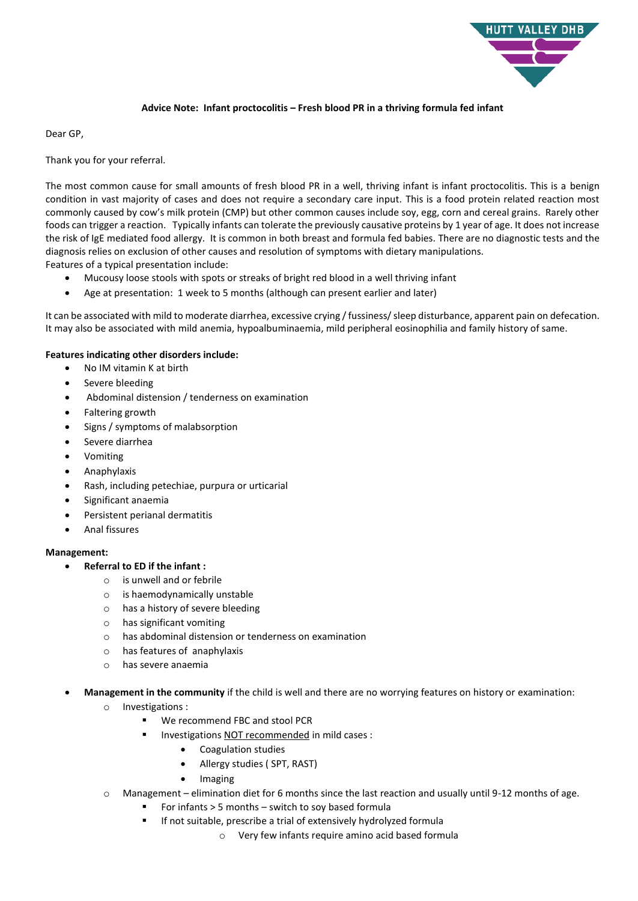

## **Advice Note: Infant proctocolitis – Fresh blood PR in a thriving formula fed infant**

Dear GP,

Thank you for your referral.

The most common cause for small amounts of fresh blood PR in a well, thriving infant is infant proctocolitis. This is a benign condition in vast majority of cases and does not require a secondary care input. This is a food protein related reaction most commonly caused by cow's milk protein (CMP) but other common causes include soy, egg, corn and cereal grains. Rarely other foods can trigger a reaction. Typically infants can tolerate the previously causative proteins by 1 year of age. It does not increase the risk of IgE mediated food allergy. It is common in both breast and formula fed babies. There are no diagnostic tests and the diagnosis relies on exclusion of other causes and resolution of symptoms with dietary manipulations. Features of a typical presentation include:

- Mucousy loose stools with spots or streaks of bright red blood in a well thriving infant
- Age at presentation: 1 week to 5 months (although can present earlier and later)

It can be associated with mild to moderate diarrhea, excessive crying / fussiness/ sleep disturbance, apparent pain on defecation. It may also be associated with mild anemia, hypoalbuminaemia, mild peripheral eosinophilia and family history of same.

## **Features indicating other disorders include:**

- No IM vitamin K at birth
- Severe bleeding
- Abdominal distension / tenderness on examination
- Faltering growth
- Signs / symptoms of malabsorption
- Severe diarrhea
- Vomiting
- Anaphylaxis
- Rash, including petechiae, purpura or urticarial
- Significant anaemia
- Persistent perianal dermatitis
- Anal fissures

## **Management:**

- **Referral to ED if the infant :**
	- o is unwell and or febrile
	- o is haemodynamically unstable
	- o has a history of severe bleeding
	- o has significant vomiting
	- o has abdominal distension or tenderness on examination
	- o has features of anaphylaxis
	- o has severe anaemia
- **Management in the community** if the child is well and there are no worrying features on history or examination:
	- o Investigations :
		- **We recommend FBC and stool PCR**
		- Investigations NOT recommended in mild cases :
			- Coagulation studies
			- Allergy studies ( SPT, RAST)
			- Imaging
	- o Management elimination diet for 6 months since the last reaction and usually until 9-12 months of age.
		- For infants > 5 months switch to soy based formula
		- **If not suitable, prescribe a trial of extensively hydrolyzed formula** 
			- o Very few infants require amino acid based formula